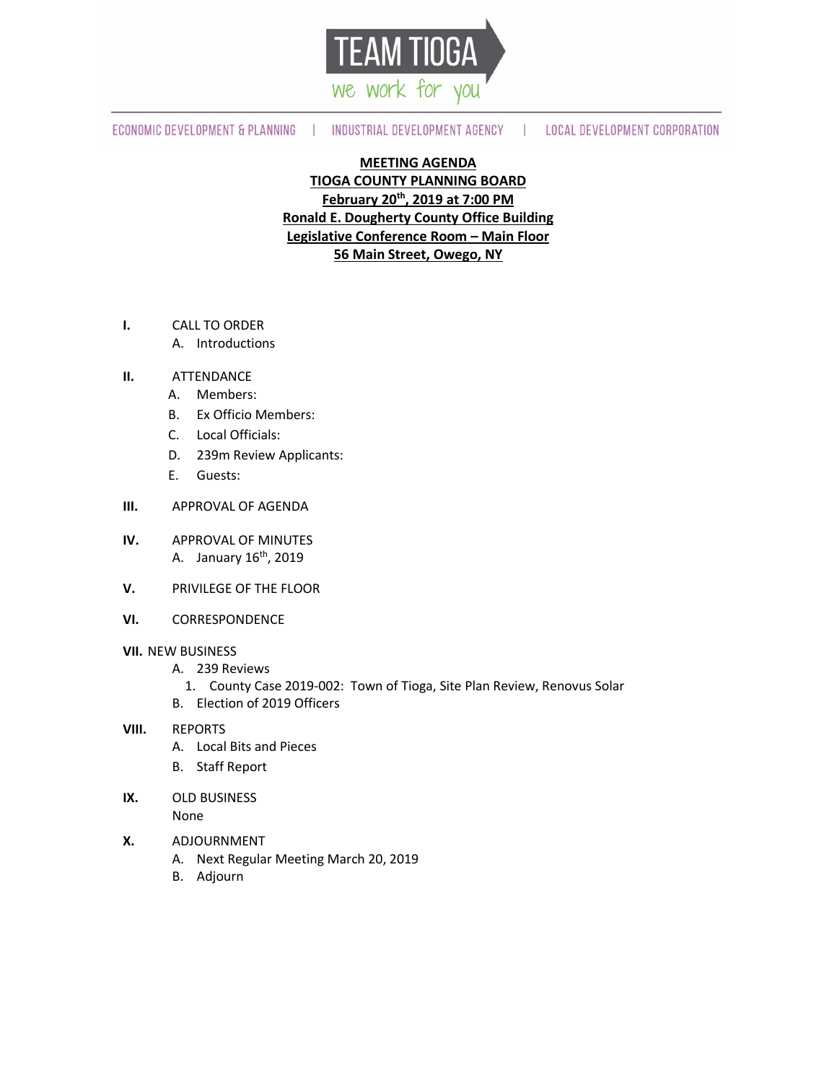

ECONOMIC DEVELOPMENT & PLANNING | INDUSTRIAL DEVELOPMENT AGENCY

| LOCAL DEVELOPMENT CORPORATION

# **MEETING AGENDA**

**TIOGA COUNTY PLANNING BOARD February 20th, 2019 at 7:00 PM Ronald E. Dougherty County Office Building Legislative Conference Room – Main Floor 56 Main Street, Owego, NY**

- **I.** CALL TO ORDER
	- A. Introductions
- **II.** ATTENDANCE
	- A. Members:
	- B. Ex Officio Members:
	- C. Local Officials:
	- D. 239m Review Applicants:
	- E. Guests:
- **III.** APPROVAL OF AGENDA
- **IV.** APPROVAL OF MINUTES A. January 16<sup>th</sup>, 2019
- **V.** PRIVILEGE OF THE FLOOR
- **VI.** CORRESPONDENCE

#### **VII.** NEW BUSINESS

- A. 239 Reviews
	- 1. County Case 2019-002: Town of Tioga, Site Plan Review, Renovus Solar
- B. Election of 2019 Officers

#### **VIII.** REPORTS

- A. Local Bits and Pieces
- B. Staff Report
- **IX.** OLD BUSINESS

None

- **X.** ADJOURNMENT
	- A. Next Regular Meeting March 20, 2019
	- B. Adjourn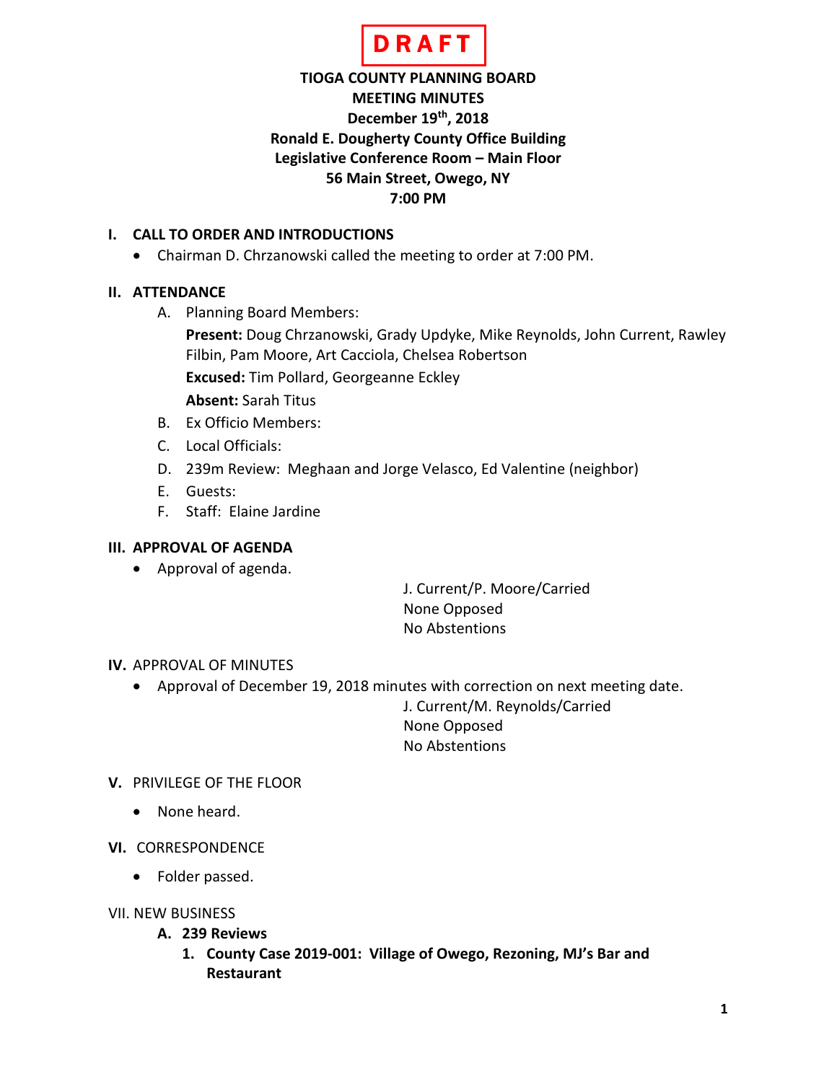

# **TIOGA COUNTY PLANNING BOARD MEETING MINUTES December 19th, 2018 Ronald E. Dougherty County Office Building Legislative Conference Room – Main Floor 56 Main Street, Owego, NY 7:00 PM**

### **I. CALL TO ORDER AND INTRODUCTIONS**

• Chairman D. Chrzanowski called the meeting to order at 7:00 PM.

# **II. ATTENDANCE**

A. Planning Board Members:

**Present:** Doug Chrzanowski, Grady Updyke, Mike Reynolds, John Current, Rawley Filbin, Pam Moore, Art Cacciola, Chelsea Robertson

**Excused:** Tim Pollard, Georgeanne Eckley

**Absent:** Sarah Titus

- B. Ex Officio Members:
- C. Local Officials:
- D. 239m Review: Meghaan and Jorge Velasco, Ed Valentine (neighbor)
- E. Guests:
- F. Staff: Elaine Jardine

### **III. APPROVAL OF AGENDA**

• Approval of agenda.

J. Current/P. Moore/Carried None Opposed No Abstentions

# **IV.** APPROVAL OF MINUTES

• Approval of December 19, 2018 minutes with correction on next meeting date.

J. Current/M. Reynolds/Carried None Opposed No Abstentions

# **V.** PRIVILEGE OF THE FLOOR

- None heard.
- **VI.** CORRESPONDENCE
	- Folder passed.
- VII. NEW BUSINESS
	- **A. 239 Reviews**
		- **1. County Case 2019-001: Village of Owego, Rezoning, MJ's Bar and Restaurant**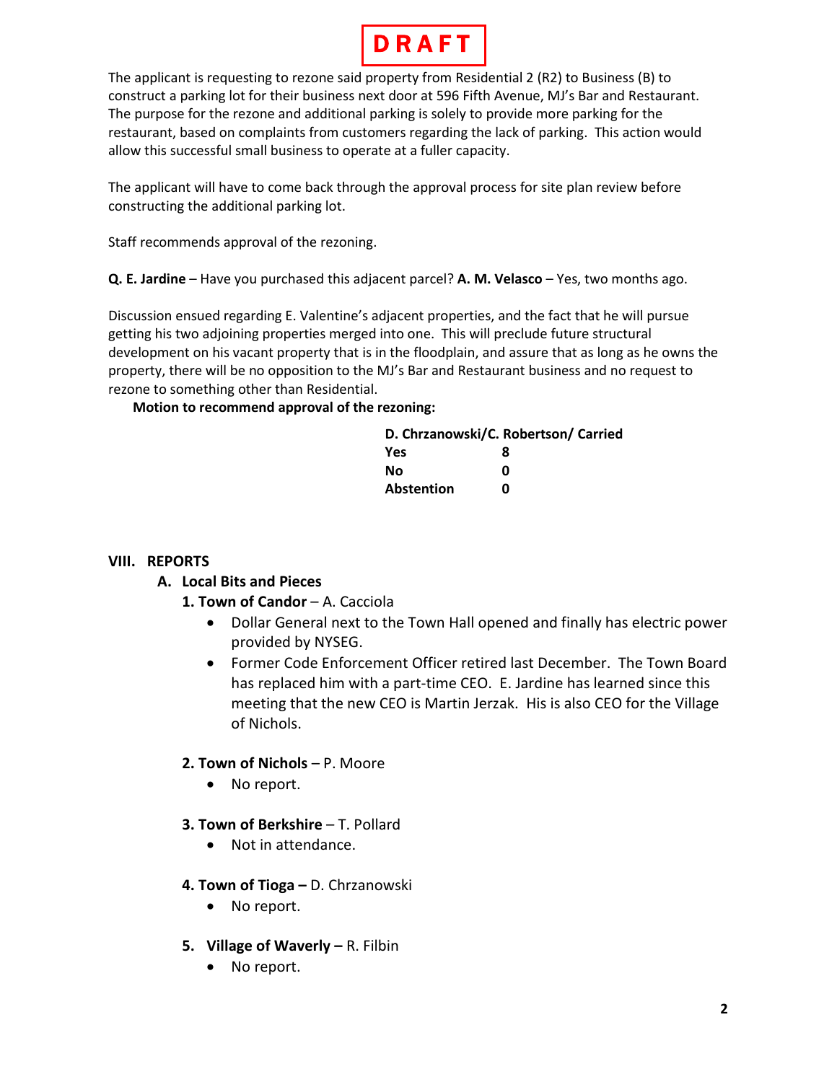

The applicant is requesting to rezone said property from Residential 2 (R2) to Business (B) to construct a parking lot for their business next door at 596 Fifth Avenue, MJ's Bar and Restaurant. The purpose for the rezone and additional parking is solely to provide more parking for the restaurant, based on complaints from customers regarding the lack of parking. This action would allow this successful small business to operate at a fuller capacity.

The applicant will have to come back through the approval process for site plan review before constructing the additional parking lot.

Staff recommends approval of the rezoning.

**Q. E. Jardine** – Have you purchased this adjacent parcel? **A. M. Velasco** – Yes, two months ago.

Discussion ensued regarding E. Valentine's adjacent properties, and the fact that he will pursue getting his two adjoining properties merged into one. This will preclude future structural development on his vacant property that is in the floodplain, and assure that as long as he owns the property, there will be no opposition to the MJ's Bar and Restaurant business and no request to rezone to something other than Residential.

**Motion to recommend approval of the rezoning:**

|            | D. Chrzanowski/C. Robertson/ Carried |
|------------|--------------------------------------|
| <b>Yes</b> | я                                    |
| Nο         | ŋ                                    |
| Abstention | ŋ                                    |

#### **VIII. REPORTS**

#### **A. Local Bits and Pieces**

- 1. Town of Candor A. Cacciola
	- Dollar General next to the Town Hall opened and finally has electric power provided by NYSEG.
	- Former Code Enforcement Officer retired last December. The Town Board has replaced him with a part-time CEO. E. Jardine has learned since this meeting that the new CEO is Martin Jerzak. His is also CEO for the Village of Nichols.

#### **2. Town of Nichols** – P. Moore

- No report.
- **3. Town of Berkshire** T. Pollard
	- Not in attendance.
- **4. Town of Tioga –** D. Chrzanowski
	- No report.
- **5. Village of Waverly –** R. Filbin
	- No report.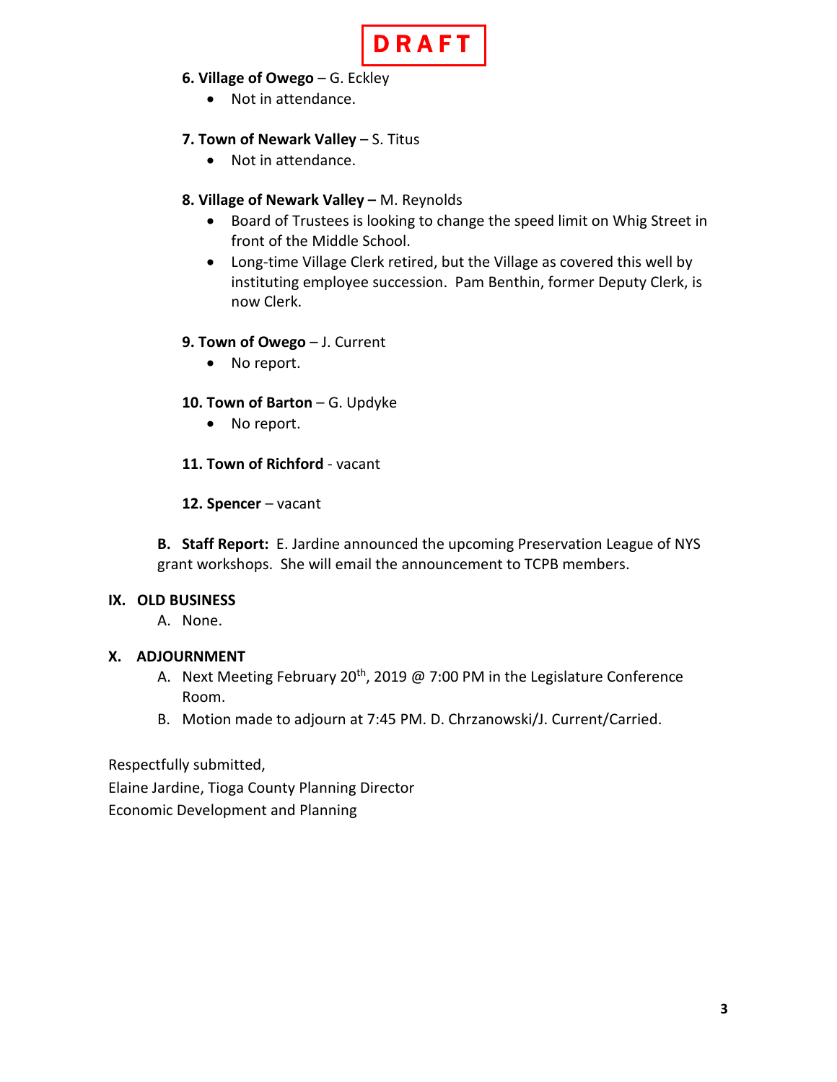

- **6. Village of Owego** G. Eckley
	- Not in attendance.

# **7. Town of Newark Valley** – S. Titus

• Not in attendance.

# **8. Village of Newark Valley –** M. Reynolds

- Board of Trustees is looking to change the speed limit on Whig Street in front of the Middle School.
- Long-time Village Clerk retired, but the Village as covered this well by instituting employee succession. Pam Benthin, former Deputy Clerk, is now Clerk.

# **9. Town of Owego** – J. Current

• No report.

# **10. Town of Barton** – G. Updyke

- No report.
- **11. Town of Richford** vacant
- **12. Spencer** vacant

**B. Staff Report:** E. Jardine announced the upcoming Preservation League of NYS grant workshops. She will email the announcement to TCPB members.

# **IX. OLD BUSINESS**

A. None.

# **X. ADJOURNMENT**

- A. Next Meeting February 20<sup>th</sup>, 2019 @ 7:00 PM in the Legislature Conference Room.
- B. Motion made to adjourn at 7:45 PM. D. Chrzanowski/J. Current/Carried.

Respectfully submitted,

Elaine Jardine, Tioga County Planning Director Economic Development and Planning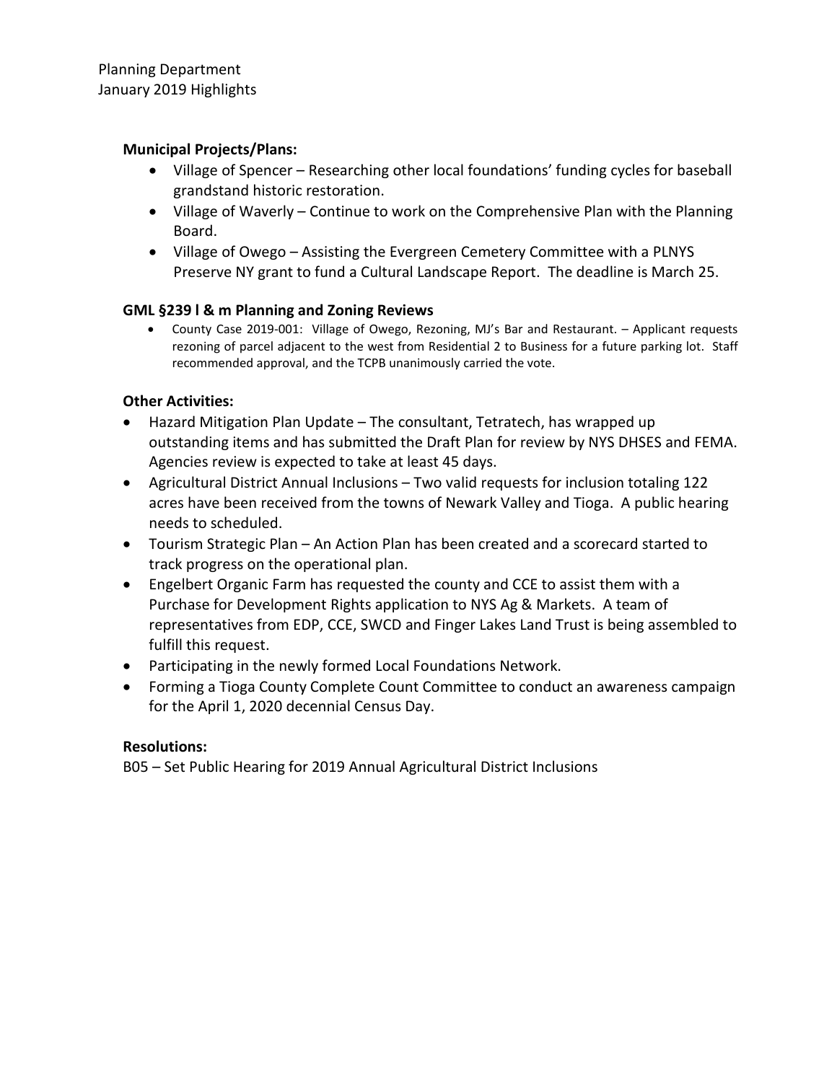# **Municipal Projects/Plans:**

- Village of Spencer Researching other local foundations' funding cycles for baseball grandstand historic restoration.
- Village of Waverly Continue to work on the Comprehensive Plan with the Planning Board.
- Village of Owego Assisting the Evergreen Cemetery Committee with a PLNYS Preserve NY grant to fund a Cultural Landscape Report. The deadline is March 25.

### **GML §239 l & m Planning and Zoning Reviews**

• County Case 2019-001: Village of Owego, Rezoning, MJ's Bar and Restaurant. – Applicant requests rezoning of parcel adjacent to the west from Residential 2 to Business for a future parking lot. Staff recommended approval, and the TCPB unanimously carried the vote.

# **Other Activities:**

- Hazard Mitigation Plan Update The consultant, Tetratech, has wrapped up outstanding items and has submitted the Draft Plan for review by NYS DHSES and FEMA. Agencies review is expected to take at least 45 days.
- Agricultural District Annual Inclusions Two valid requests for inclusion totaling 122 acres have been received from the towns of Newark Valley and Tioga. A public hearing needs to scheduled.
- Tourism Strategic Plan An Action Plan has been created and a scorecard started to track progress on the operational plan.
- Engelbert Organic Farm has requested the county and CCE to assist them with a Purchase for Development Rights application to NYS Ag & Markets. A team of representatives from EDP, CCE, SWCD and Finger Lakes Land Trust is being assembled to fulfill this request.
- Participating in the newly formed Local Foundations Network.
- Forming a Tioga County Complete Count Committee to conduct an awareness campaign for the April 1, 2020 decennial Census Day.

# **Resolutions:**

B05 – Set Public Hearing for 2019 Annual Agricultural District Inclusions